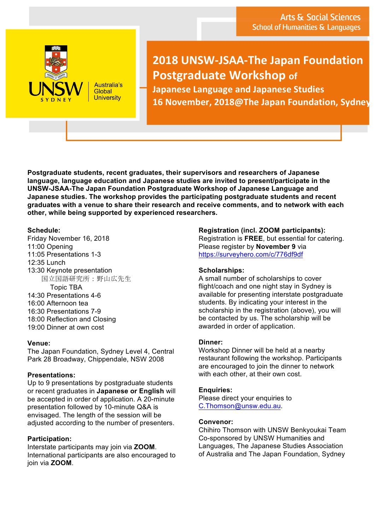

Australia's Global **University** 

# **2018 UNSW-JSAA-The Japan Foundation Postgraduate Workshop of**

**Japanese Language and Japanese Studies** 16 November, 2018@The Japan Foundation, Sydney

**Postgraduate students, recent graduates, their supervisors and researchers of Japanese language, language education and Japanese studies are invited to present/participate in the UNSW-JSAA-The Japan Foundation Postgraduate Workshop of Japanese Language and Japanese studies. The workshop provides the participating postgraduate students and recent graduates with a venue to share their research and receive comments, and to network with each other, while being supported by experienced researchers.**

#### **Schedule:**

Friday November 16, 2018 11:00 Opening 11:05 Presentations 1-3 12:35 Lunch 13:30 Keynote presentation 国立国語研究所:野山広先生 Topic TBA 14:30 Presentations 4-6 16:00 Afternoon tea 16:30 Presentations 7-9 18:00 Reflection and Closing 19:00 Dinner at own cost

## **Venue:**

The Japan Foundation, Sydney Level 4, Central Park 28 Broadway, Chippendale, NSW 2008

## **Presentations:**

Up to 9 presentations by postgraduate students or recent graduates in **Japanese or English** will be accepted in order of application. A 20-minute presentation followed by 10-minute Q&A is envisaged. The length of the session will be adjusted according to the number of presenters.

## **Participation:**

Interstate participants may join via **ZOOM**. International participants are also encouraged to join via **ZOOM**.

**Registration (incl. ZOOM participants):**  Registration is **FREE**, but essential for catering. Please register by **November 9** via https://surveyhero.com/c/776df9df

## **Scholarships:**

A small number of scholarships to cover flight/coach and one night stay in Sydney is available for presenting interstate postgraduate students. By indicating your interest in the scholarship in the registration (above), you will be contacted by us. The scholarship will be awarded in order of application.

#### **Dinner:**

Workshop Dinner will be held at a nearby restaurant following the workshop. Participants are encouraged to join the dinner to network with each other, at their own cost.

## **Enquiries:**

Please direct your enquiries to C.Thomson@unsw.edu.au.

#### **Convenor:**

Chihiro Thomson with UNSW Benkyoukai Team Co-sponsored by UNSW Humanities and Languages, The Japanese Studies Association of Australia and The Japan Foundation, Sydney